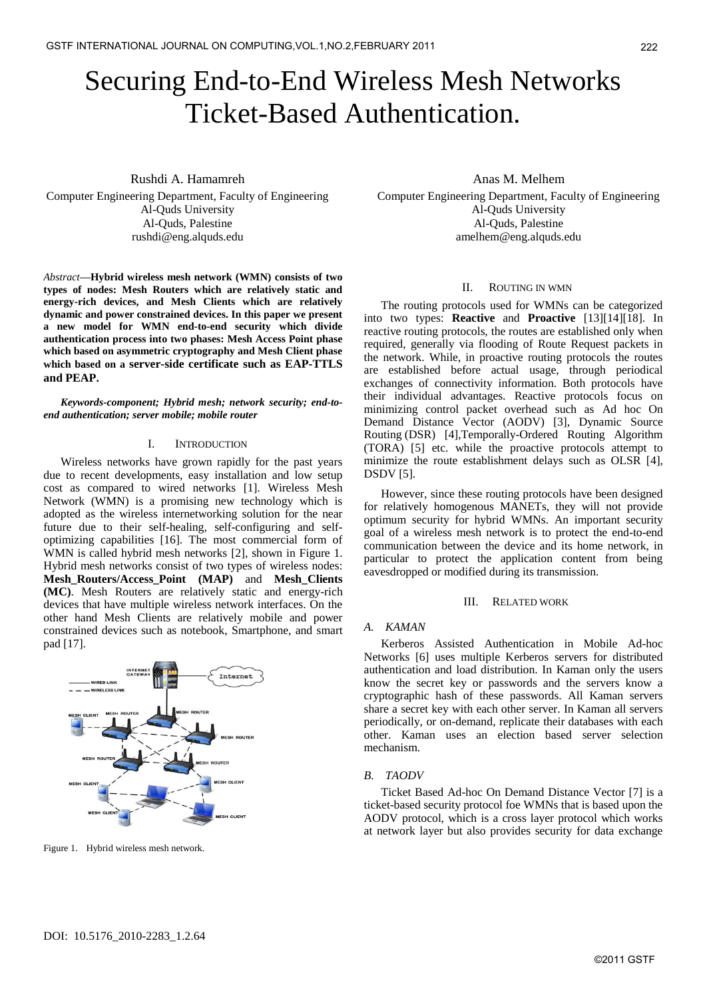# Securing End-to-End Wireless Mesh Networks Ticket-Based Authentication.

Rushdi A. Hamamreh Computer Engineering Department, Faculty of Engineering Al-Quds University Al-Quds, Palestine [rushdi@eng.alquds.edu](mailto:rushdi@eng.alquds.edu)

*Abstract***—Hybrid wireless mesh network (WMN) consists of two types of nodes: Mesh Routers which are relatively static and energy-rich devices, and Mesh Clients which are relatively dynamic and power constrained devices. In this paper we present a new model for WMN end-to-end security which divide authentication process into two phases: Mesh Access Point phase which based on asymmetric cryptography and Mesh Client phase which based on a server-side certificate such as EAP-TTLS and PEAP.**

*Keywords-component; Hybrid mesh; network security; end-toend authentication; server mobile; mobile router*

## I. INTRODUCTION

Wireless networks have grown rapidly for the past years due to recent developments, easy installation and low setup cost as compared to wired networks [1]. Wireless Mesh Network (WMN) is a promising new technology which is adopted as the wireless internetworking solution for the near future due to their self-healing, self-configuring and selfoptimizing capabilities [16]. The most commercial form of WMN is called hybrid mesh networks [2], shown in Figure 1. Hybrid mesh networks consist of two types of wireless nodes: **Mesh\_Routers/Access\_Point (MAP)** and **Mesh\_Clients (MC)**. Mesh Routers are relatively static and energy-rich devices that have multiple wireless network interfaces. On the other hand Mesh Clients are relatively mobile and power constrained devices such as notebook, Smartphone, and smart pad [17].



Figure 1. Hybrid wireless mesh network.

Anas M. Melhem

Computer Engineering Department, Faculty of Engineering Al-Quds University Al-Quds, Palestine amelhem[@eng.alquds.edu](mailto:rushdi@eng.alquds.edu)

# II. ROUTING IN WMN

The routing protocols used for WMNs can be categorized into two types: **Reactive** and **Proactive** [13][14][18]. In reactive routing protocols, the routes are established only when required, generally via flooding of Route Request packets in the network. While, in proactive routing protocols the routes are established before actual usage, through periodical exchanges of connectivity information. Both protocols have their individual advantages. Reactive protocols focus on minimizing control packet overhead such as Ad hoc On Demand Distance Vector (AODV) [3], Dynamic Source Routing (DSR) [4],Temporally-Ordered Routing Algorithm (TORA) [5] etc. while the proactive protocols attempt to minimize the route establishment delays such as OLSR [4], DSDV [5].

However, since these routing protocols have been designed for relatively homogenous MANETs, they will not provide optimum security for hybrid WMNs. An important security goal of a wireless mesh network is to protect the end-to-end communication between the device and its home network, in particular to protect the application content from being eavesdropped or modified during its transmission.

#### III. RELATED WORK

# *A. KAMAN*

Kerberos Assisted Authentication in Mobile Ad-hoc Networks [6] uses multiple Kerberos servers for distributed authentication and load distribution. In Kaman only the users know the secret key or passwords and the servers know a cryptographic hash of these passwords. All Kaman servers share a secret key with each other server. In Kaman all servers periodically, or on-demand, replicate their databases with each other. Kaman uses an election based server selection mechanism.

#### *B. TAODV*

Ticket Based Ad-hoc On Demand Distance Vector [7] is a ticket-based security protocol foe WMNs that is based upon the AODV protocol, which is a cross layer protocol which works at network layer but also provides security for data exchange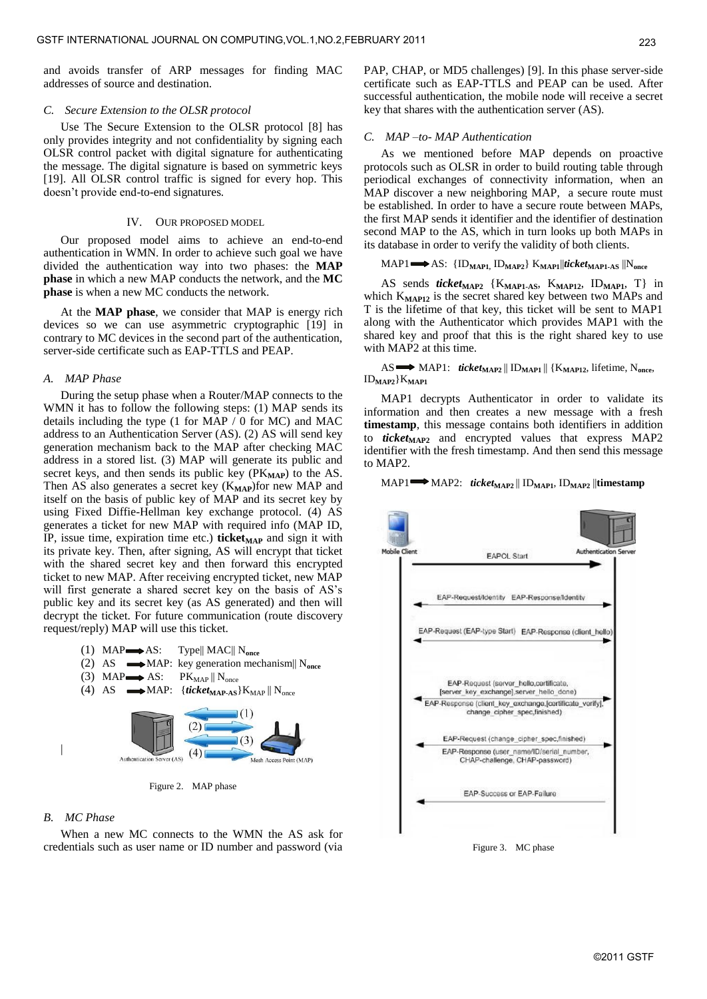and avoids transfer of ARP messages for finding MAC addresses of source and destination.

## *C. Secure Extension to the OLSR protocol*

Use The Secure Extension to the OLSR protocol [8] has only provides integrity and not confidentiality by signing each OLSR control packet with digital signature for authenticating the message. The digital signature is based on symmetric keys [19]. All OLSR control traffic is signed for every hop. This doesn't provide end-to-end signatures.

## IV. OUR PROPOSED MODEL

Our proposed model aims to achieve an end-to-end authentication in WMN. In order to achieve such goal we have divided the authentication way into two phases: the **MAP phase** in which a new MAP conducts the network, and the **MC phase** is when a new MC conducts the network.

At the **MAP phase**, we consider that MAP is energy rich devices so we can use asymmetric cryptographic [19] in contrary to MC devices in the second part of the authentication, server-side certificate such as EAP-TTLS and PEAP.

#### *A. MAP Phase*

During the setup phase when a Router/MAP connects to the WMN it has to follow the following steps: (1) MAP sends its details including the type (1 for MAP / 0 for MC) and MAC address to an Authentication Server (AS). (2) AS will send key generation mechanism back to the MAP after checking MAC address in a stored list. (3) MAP will generate its public and secret keys, and then sends its public key (PK<sub>MAP</sub>) to the AS. Then AS also generates a secret key (K<sub>MAP</sub>)for new MAP and itself on the basis of public key of MAP and its secret key by using Fixed Diffie-Hellman key exchange protocol. (4) AS generates a ticket for new MAP with required info (MAP ID, IP, issue time, expiration time etc.) **ticket**<sub>MAP</sub> and sign it with its private key. Then, after signing, AS will encrypt that ticket with the shared secret key and then forward this encrypted ticket to new MAP. After receiving encrypted ticket, new MAP will first generate a shared secret key on the basis of AS's public key and its secret key (as AS generated) and then will decrypt the ticket. For future communication (route discovery request/reply) MAP will use this ticket.



Figure 2. MAP phase

## *B. MC Phase*

When a new MC connects to the WMN the AS ask for credentials such as user name or ID number and password (via PAP, CHAP, or MD5 challenges) [9]. In this phase server-side certificate such as EAP-TTLS and PEAP can be used. After successful authentication, the mobile node will receive a secret key that shares with the authentication server (AS).

# *C. MAP –to- MAP Authentication*

As we mentioned before MAP depends on proactive protocols such as OLSR in order to build routing table through periodical exchanges of connectivity information, when an MAP discover a new neighboring MAP, a secure route must be established. In order to have a secure route between MAPs, the first MAP sends it identifier and the identifier of destination second MAP to the AS, which in turn looks up both MAPs in its database in order to verify the validity of both clients.

# MAP1 AS: {ID**MAP1,** ID**MAP2**} K**MAP1**||*ticket***MAP1-AS** ||N**once**

AS sends *ticket***MAP2** {K**MAP1-AS**, K**MAP12**, ID**MAP1**, T} in which K<sub>MAP12</sub> is the secret shared key between two MAPs and T is the lifetime of that key, this ticket will be sent to MAP1 along with the Authenticator which provides MAP1 with the shared key and proof that this is the right shared key to use with MAP2 at this time.

# AS MAP1: *ticket***MAP2** || ID**MAP1** || {K**MAP12**, lifetime, N**once**, ID**MAP2**}K**MAP1**

MAP1 decrypts Authenticator in order to validate its information and then creates a new message with a fresh **timestamp**, this message contains both identifiers in addition to *ticket***MAP2** and encrypted values that express MAP2 identifier with the fresh timestamp. And then send this message to MAP2.

# MAP1 MAP2: *ticket***MAP2** || ID**MAP1**, ID**MAP2** ||**timestamp**

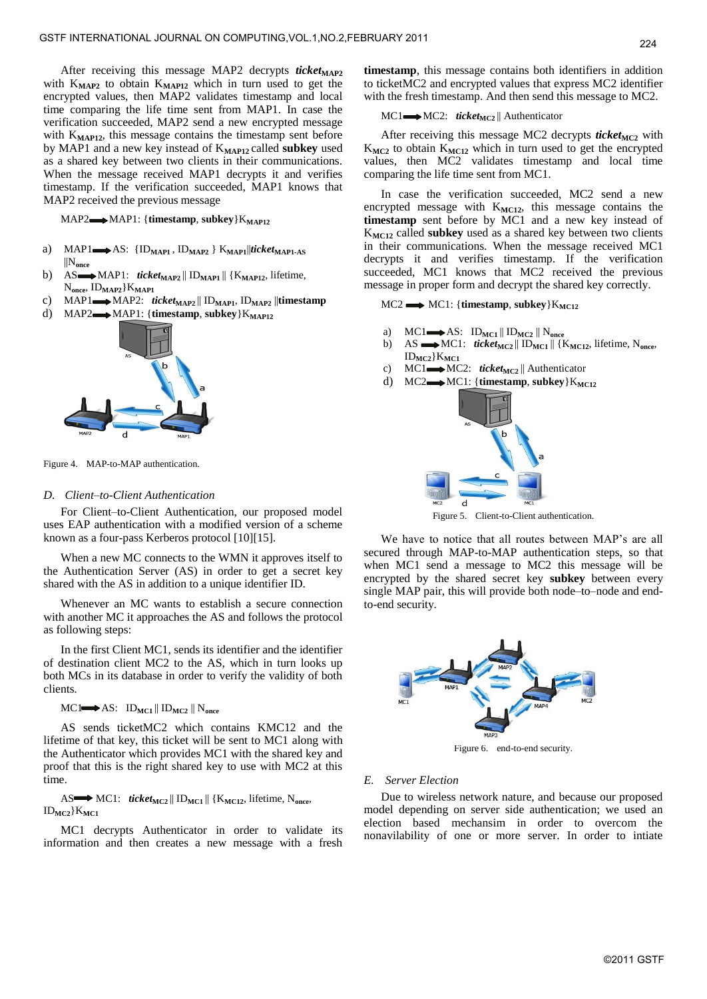After receiving this message MAP2 decrypts *ticket*<sub>MAP2</sub> with K**MAP2** to obtain K**MAP12** which in turn used to get the encrypted values, then MAP2 validates timestamp and local time comparing the life time sent from MAP1. In case the verification succeeded, MAP2 send a new encrypted message with K<sub>MAP12</sub>, this message contains the timestamp sent before by MAP1 and a new key instead of K**MAP12** called **subkey** used as a shared key between two clients in their communications. When the message received MAP1 decrypts it and verifies timestamp. If the verification succeeded, MAP1 knows that MAP2 received the previous message

MAP2 $\longrightarrow$ MAP1: {**timestamp**, **subkey**}K<sub>MAP12</sub>

- a) MAP1 $\rightarrow$ AS: {ID<sub>MAP1</sub>, ID<sub>MAP2</sub>} K<sub>MAP1</sub>||*ticket*<sub>MAP1-AS</sub> ||N**once**
- b) AS MAP1: *ticket*<sub>MAP2</sub> || ID<sub>MAP1</sub> || {K<sub>MAP12</sub>, lifetime,  $N_{\text{once}}$ ,  $ID_{\text{MAP2}}$  $K_{\text{MAP1}}$
- c) MAP1 $\longrightarrow$ MAP2: *ticket*<sub>MAP2</sub> || ID<sub>MAP1</sub>, ID<sub>MAP2</sub> || timestamp
- d) MAP2 $\longrightarrow$ MAP1: {**timestamp**, **subkey**} $K_{MAP12}$



Figure 4. MAP-to-MAP authentication.

# *D. Client–to-Client Authentication*

For Client–to-Client Authentication, our proposed model uses EAP authentication with a modified version of a scheme known as a four-pass Kerberos protocol [10][15].

When a new MC connects to the WMN it approves itself to the Authentication Server (AS) in order to get a secret key shared with the AS in addition to a unique identifier ID.

Whenever an MC wants to establish a secure connection with another MC it approaches the AS and follows the protocol as following steps:

In the first Client MC1, sends its identifier and the identifier of destination client MC2 to the AS, which in turn looks up both MCs in its database in order to verify the validity of both clients.

 $MC1 \longrightarrow AS: ID_{MC1} \parallel ID_{MC2} \parallel N_{once}$ 

AS sends ticketMC2 which contains KMC12 and the lifetime of that key, this ticket will be sent to MC1 along with the Authenticator which provides MC1 with the shared key and proof that this is the right shared key to use with MC2 at this time.

AS MC1: *ticket*<sub>MC2</sub> || ID<sub>MC1</sub> || {K<sub>MC12</sub>, lifetime, N<sub>once</sub>,  $ID_{MC2}$  $K_{MC1}$ 

MC1 decrypts Authenticator in order to validate its information and then creates a new message with a fresh

**timestamp**, this message contains both identifiers in addition to ticketMC2 and encrypted values that express MC2 identifier with the fresh timestamp. And then send this message to MC2.

# MC1  $\longrightarrow$  MC2: *ticket*<sub>MC2</sub> || Authenticator

After receiving this message MC2 decrypts *ticket*<sub>MC2</sub> with K**MC2** to obtain K**MC12** which in turn used to get the encrypted values, then MC2 validates timestamp and local time comparing the life time sent from MC1.

In case the verification succeeded, MC2 send a new encrypted message with  $K_{MC12}$ , this message contains the **timestamp** sent before by MC1 and a new key instead of K**MC12** called **subkey** used as a shared key between two clients in their communications. When the message received MC1 decrypts it and verifies timestamp. If the verification succeeded, MC1 knows that MC2 received the previous message in proper form and decrypt the shared key correctly.

 $MC2 \longrightarrow MC1$ : {**timestamp**, **subkey**} $K_{MC12}$ 

- a)  $MC1 \longrightarrow AS: ID_{MC1} || ID_{MC2} || N_{once}$
- b) AS MC1: *ticket***MC2** || ID**MC1** || {K**MC12**, lifetime, N**once**, ID**MC2**}K**MC1**
- c) MC1 $\longrightarrow$ MC2: *ticket*<sub>MC2</sub> || Authenticator
- d)  $MC2 \rightarrow MC1$ : {timestamp, subkey} $K_{MC12}$



Figure 5. Client-to-Client authentication.

We have to notice that all routes between MAP's are all secured through MAP-to-MAP authentication steps, so that when MC1 send a message to MC2 this message will be encrypted by the shared secret key **subkey** between every single MAP pair, this will provide both node–to–node and endto-end security.



Figure 6. end-to-end security.

# *E. Server Election*

Due to wireless network nature, and because our proposed model depending on server side authentication; we used an election based mechansim in order to overcom the nonavilability of one or more server. In order to intiate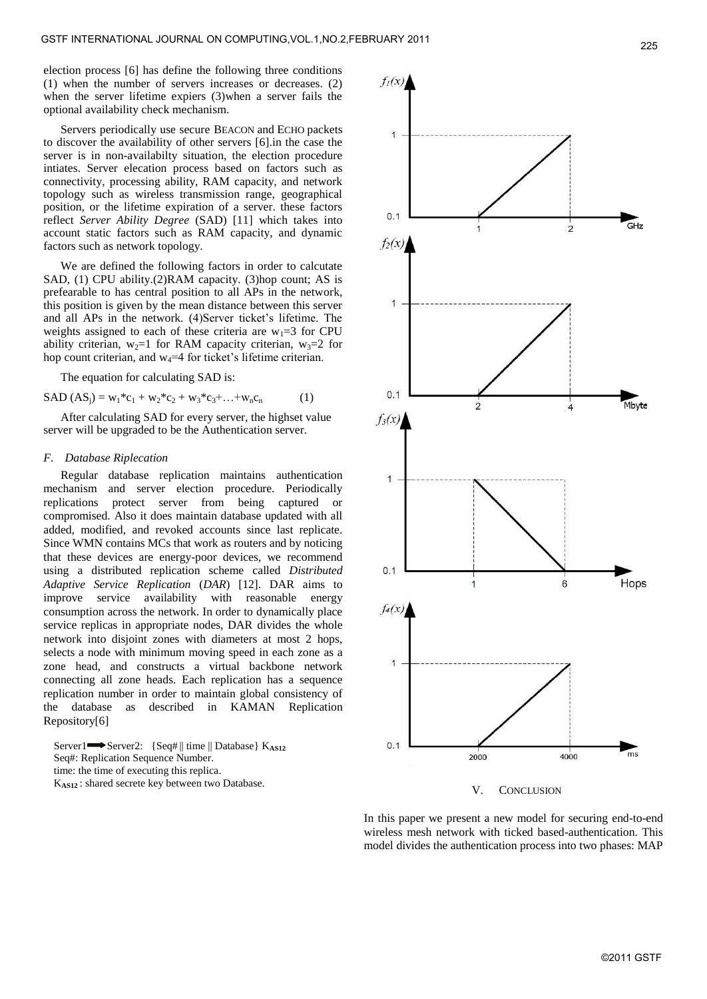election process [6] has define the following three conditions (1) when the number of servers increases or decreases. (2) when the server lifetime expiers (3)when a server fails the optional availability check mechanism.

Servers periodically use secure BEACON and ECHO packets to discover the availability of other servers [6].in the case the server is in non-availabilty situation, the election procedure intiates. Server elecation process based on factors such as connectivity, processing ability, RAM capacity, and network topology such as wireless transmission range, geographical position, or the lifetime expiration of a server. these factors reflect *Server Ability Degree* (SAD) [11] which takes into account static factors such as RAM capacity, and dynamic factors such as network topology.

We are defined the following factors in order to calcutate SAD, (1) CPU ability.(2)RAM capacity. (3)hop count; AS is prefearable to has central position to all APs in the network, this position is given by the mean distance between this server and all APs in the network. (4)Server ticket's lifetime. The weights assigned to each of these criteria are  $w_1 = 3$  for CPU ability criterian,  $w_2=1$  for RAM capacity criterian,  $w_3=2$  for hop count criterian, and  $w_4=4$  for ticket's lifetime criterian.

The equation for calculating SAD is:

$$
SAD (ASj) = w1*c1 + w2*c2 + w3*c3 + ... + wncn
$$
 (1)

After calculating SAD for every server, the highset value server will be upgraded to be the Authentication server.

#### *F. Database Riplecation*

Regular database replication maintains authentication mechanism and server election procedure. Periodically replications protect server from being captured or compromised. Also it does maintain database updated with all added, modified, and revoked accounts since last replicate. Since WMN contains MCs that work as routers and by noticing that these devices are energy-poor devices, we recommend using a distributed replication scheme called *Distributed Adaptive Service Replication* (*DAR*) [12]. DAR aims to improve service availability with reasonable energy consumption across the network. In order to dynamically place service replicas in appropriate nodes, DAR divides the whole network into disjoint zones with diameters at most 2 hops, selects a node with minimum moving speed in each zone as a zone head, and constructs a virtual backbone network connecting all zone heads. Each replication has a sequence replication number in order to maintain global consistency of the database as described in KAMAN Replication Repository[6]

Server1 Server2: {Seq#|| time || Database} K<sub>AS12</sub> Seq#: Replication Sequence Number. time: the time of executing this replica. K**AS12** : shared secrete key between two Database.



V. CONCLUSION

In this paper we present a new model for securing end-to-end wireless mesh network with ticked based-authentication. This model divides the authentication process into two phases: MAP